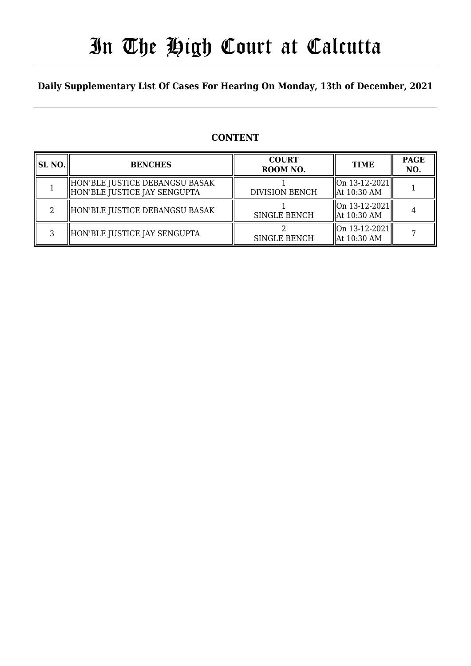## In The High Court at Calcutta

#### **Daily Supplementary List Of Cases For Hearing On Monday, 13th of December, 2021**

#### **CONTENT**

| SL NO. | <b>BENCHES</b>                                                 | <b>COURT</b><br>ROOM NO. | <b>TIME</b>                                           | <b>PAGE</b><br>NO. |
|--------|----------------------------------------------------------------|--------------------------|-------------------------------------------------------|--------------------|
|        | HON'BLE JUSTICE DEBANGSU BASAK<br>HON'BLE JUSTICE JAY SENGUPTA | <b>DIVISION BENCH</b>    | $ On 13-12-2021 $<br>  At 10:30 AM                    |                    |
| റ      | HON'BLE JUSTICE DEBANGSU BASAK                                 | <b>SINGLE BENCH</b>      | On 13-12-2021  <br>  At 10:30 AM                      |                    |
| ς      | HON'BLE JUSTICE JAY SENGUPTA                                   | <b>SINGLE BENCH</b>      | $\left\vert 0n13-12-2021\right\vert$<br>  At 10:30 AM |                    |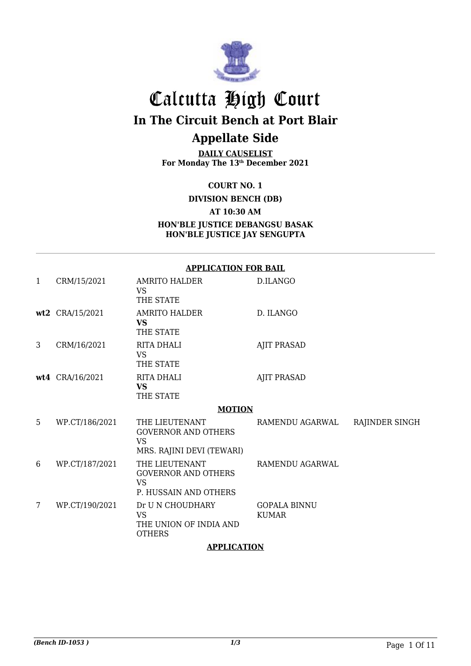

### Calcutta High Court **In The Circuit Bench at Port Blair Appellate Side**

**DAILY CAUSELIST For Monday The 13th December 2021**

**COURT NO. 1**

**DIVISION BENCH (DB)**

**AT 10:30 AM**

**HON'BLE JUSTICE DEBANGSU BASAK HON'BLE JUSTICE JAY SENGUPTA**

|   | <b>APPLICATION FOR BAIL</b> |                                                                                        |                                     |                |  |
|---|-----------------------------|----------------------------------------------------------------------------------------|-------------------------------------|----------------|--|
| 1 | CRM/15/2021                 | AMRITO HALDER<br><b>VS</b><br>THE STATE                                                | D.ILANGO                            |                |  |
|   | wt2 CRA/15/2021             | <b>AMRITO HALDER</b><br><b>VS</b><br>THE STATE                                         | D. ILANGO                           |                |  |
| 3 | CRM/16/2021                 | <b>RITA DHALI</b><br><b>VS</b><br>THE STATE                                            | <b>AJIT PRASAD</b>                  |                |  |
|   | wt4 CRA/16/2021             | <b>RITA DHALI</b><br><b>VS</b><br>THE STATE                                            | <b>AJIT PRASAD</b>                  |                |  |
|   |                             | <b>MOTION</b>                                                                          |                                     |                |  |
| 5 | WP.CT/186/2021              | THE LIEUTENANT<br><b>GOVERNOR AND OTHERS</b><br><b>VS</b><br>MRS. RAJINI DEVI (TEWARI) | RAMENDU AGARWAL                     | RAJINDER SINGH |  |
| 6 | WP.CT/187/2021              | THE LIEUTENANT<br><b>GOVERNOR AND OTHERS</b><br><b>VS</b><br>P. HUSSAIN AND OTHERS     | RAMENDU AGARWAL                     |                |  |
| 7 | WP.CT/190/2021              | Dr U N CHOUDHARY<br><b>VS</b><br>THE UNION OF INDIA AND<br><b>OTHERS</b>               | <b>GOPALA BINNU</b><br><b>KUMAR</b> |                |  |

**APPLICATION**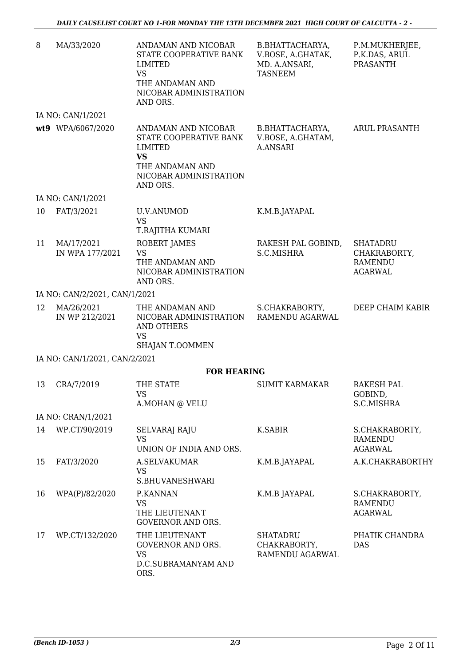| 8  | MA/33/2020                    | ANDAMAN AND NICOBAR<br>STATE COOPERATIVE BANK<br>LIMITED<br><b>VS</b><br>THE ANDAMAN AND<br>NICOBAR ADMINISTRATION<br>AND ORS. | B.BHATTACHARYA,<br>V.BOSE, A.GHATAK,<br>MD. A.ANSARI,<br><b>TASNEEM</b> | P.M.MUKHERJEE,<br>P.K.DAS, ARUL<br><b>PRASANTH</b>                  |
|----|-------------------------------|--------------------------------------------------------------------------------------------------------------------------------|-------------------------------------------------------------------------|---------------------------------------------------------------------|
|    | IA NO: CAN/1/2021             |                                                                                                                                |                                                                         |                                                                     |
|    | wt9 WPA/6067/2020             | ANDAMAN AND NICOBAR<br>STATE COOPERATIVE BANK<br>LIMITED<br><b>VS</b><br>THE ANDAMAN AND<br>NICOBAR ADMINISTRATION<br>AND ORS. | B.BHATTACHARYA,<br>V.BOSE, A.GHATAM,<br><b>A.ANSARI</b>                 | <b>ARUL PRASANTH</b>                                                |
|    | IA NO: CAN/1/2021             |                                                                                                                                |                                                                         |                                                                     |
| 10 | FAT/3/2021                    | <b>U.V.ANUMOD</b><br><b>VS</b><br>T.RAJITHA KUMARI                                                                             | K.M.B.JAYAPAL                                                           |                                                                     |
| 11 | MA/17/2021<br>IN WPA 177/2021 | ROBERT JAMES<br><b>VS</b><br>THE ANDAMAN AND<br>NICOBAR ADMINISTRATION<br>AND ORS.                                             | RAKESH PAL GOBIND,<br>S.C.MISHRA                                        | <b>SHATADRU</b><br>CHAKRABORTY,<br><b>RAMENDU</b><br><b>AGARWAL</b> |
|    | IA NO: CAN/2/2021, CAN/1/2021 |                                                                                                                                |                                                                         |                                                                     |
| 12 | MA/26/2021<br>IN WP 212/2021  | THE ANDAMAN AND<br>NICOBAR ADMINISTRATION<br><b>AND OTHERS</b><br><b>VS</b><br>SHAJAN T.OOMMEN                                 | S.CHAKRABORTY,<br>RAMENDU AGARWAL                                       | DEEP CHAIM KABIR                                                    |
|    | IA NO: CAN/1/2021, CAN/2/2021 |                                                                                                                                |                                                                         |                                                                     |
|    |                               | <b>FOR HEARING</b>                                                                                                             |                                                                         |                                                                     |
| 13 | CRA/7/2019                    | THE STATE<br>VS —<br>A.MOHAN @ VELU                                                                                            | <b>SUMIT KARMAKAR</b>                                                   | <b>RAKESH PAL</b><br>GOBIND,<br>S.C.MISHRA                          |
|    | IA NO: CRAN/1/2021            |                                                                                                                                |                                                                         |                                                                     |
| 14 | WP.CT/90/2019                 | <b>SELVARAJ RAJU</b><br><b>VS</b><br>UNION OF INDIA AND ORS.                                                                   | K.SABIR                                                                 | S.CHAKRABORTY,<br>RAMENDU<br><b>AGARWAL</b>                         |
| 15 | FAT/3/2020                    | A.SELVAKUMAR<br><b>VS</b><br>S.BHUVANESHWARI                                                                                   | K.M.B.JAYAPAL                                                           | A.K.CHAKRABORTHY                                                    |
| 16 | WPA(P)/82/2020                | P.KANNAN<br><b>VS</b><br>THE LIEUTENANT<br><b>GOVERNOR AND ORS.</b>                                                            | K.M.B JAYAPAL                                                           | S.CHAKRABORTY,<br>RAMENDU<br><b>AGARWAL</b>                         |
| 17 | WP.CT/132/2020                | THE LIEUTENANT<br>GOVERNOR AND ORS.<br><b>VS</b><br>D.C.SUBRAMANYAM AND<br>ORS.                                                | <b>SHATADRU</b><br>CHAKRABORTY,<br>RAMENDU AGARWAL                      | PHATIK CHANDRA<br><b>DAS</b>                                        |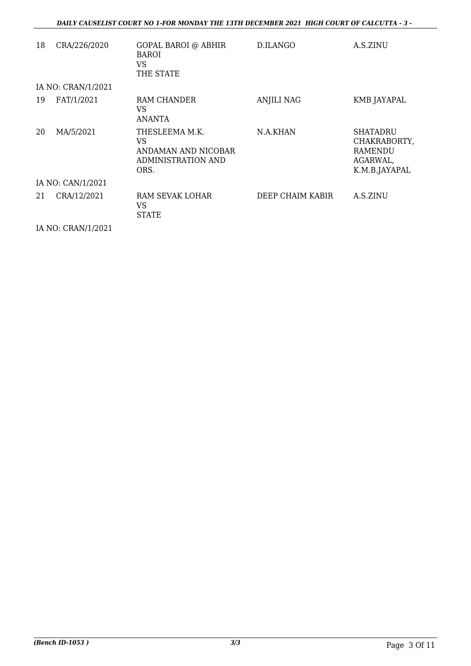| 18 | CRA/226/2020       | GOPAL BAROI @ ABHIR<br><b>BAROI</b><br><b>VS</b><br>THE STATE                    | D.ILANGO          | A.S.ZINU                                                                       |
|----|--------------------|----------------------------------------------------------------------------------|-------------------|--------------------------------------------------------------------------------|
|    | IA NO: CRAN/1/2021 |                                                                                  |                   |                                                                                |
| 19 | FAT/1/2021         | RAM CHANDER<br>VS<br>ANANTA                                                      | <b>ANJILI NAG</b> | KMB JAYAPAL                                                                    |
| 20 | MA/5/2021          | THESLEEMA M.K.<br>VS<br>ANDAMAN AND NICOBAR<br><b>ADMINISTRATION AND</b><br>ORS. | N.A.KHAN          | <b>SHATADRU</b><br>CHAKRABORTY,<br><b>RAMENDU</b><br>AGARWAL,<br>K.M.B.JAYAPAL |
|    | IA NO: CAN/1/2021  |                                                                                  |                   |                                                                                |
| 21 | CRA/12/2021        | RAM SEVAK LOHAR<br>VS<br>STATE                                                   | DEEP CHAIM KABIR  | A.S.ZINU                                                                       |

IA NO: CRAN/1/2021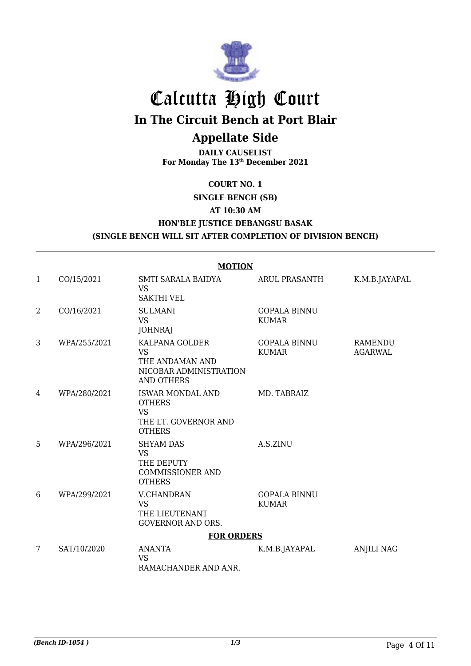

# Calcutta High Court

**In The Circuit Bench at Port Blair**

#### **Appellate Side**

**DAILY CAUSELIST For Monday The 13th December 2021**

#### **COURT NO. 1**

#### **SINGLE BENCH (SB) AT 10:30 AM**

**HON'BLE JUSTICE DEBANGSU BASAK**

#### **(SINGLE BENCH WILL SIT AFTER COMPLETION OF DIVISION BENCH)**

|              | <b>MOTION</b>     |                                                                                                |                                     |                    |  |  |
|--------------|-------------------|------------------------------------------------------------------------------------------------|-------------------------------------|--------------------|--|--|
| $\mathbf{1}$ | CO/15/2021        | SMTI SARALA BAIDYA<br><b>VS</b><br><b>SAKTHI VEL</b>                                           | <b>ARUL PRASANTH</b>                | K.M.B.JAYAPAL      |  |  |
| 2            | CO/16/2021        | <b>SULMANI</b><br><b>VS</b><br><b>JOHNRAJ</b>                                                  | <b>GOPALA BINNU</b><br><b>KUMAR</b> |                    |  |  |
| 3            | WPA/255/2021      | KALPANA GOLDER<br><b>VS</b><br>THE ANDAMAN AND<br>NICOBAR ADMINISTRATION<br><b>AND OTHERS</b>  | <b>GOPALA BINNU</b><br><b>KUMAR</b> | RAMENDU<br>AGARWAL |  |  |
| 4            | WPA/280/2021      | <b>ISWAR MONDAL AND</b><br><b>OTHERS</b><br><b>VS</b><br>THE LT. GOVERNOR AND<br><b>OTHERS</b> | MD. TABRAIZ                         |                    |  |  |
| 5            | WPA/296/2021      | <b>SHYAM DAS</b><br><b>VS</b><br>THE DEPUTY<br><b>COMMISSIONER AND</b><br><b>OTHERS</b>        | A.S.ZINU                            |                    |  |  |
| 6            | WPA/299/2021      | <b>V.CHANDRAN</b><br><b>VS</b><br>THE LIEUTENANT<br><b>GOVERNOR AND ORS.</b>                   | <b>GOPALA BINNU</b><br><b>KUMAR</b> |                    |  |  |
|              | <b>FOR ORDERS</b> |                                                                                                |                                     |                    |  |  |
| 7            | SAT/10/2020       | <b>ANANTA</b><br><b>VS</b><br>RAMACHANDER AND ANR.                                             | K.M.B.JAYAPAL                       | <b>ANJILI NAG</b>  |  |  |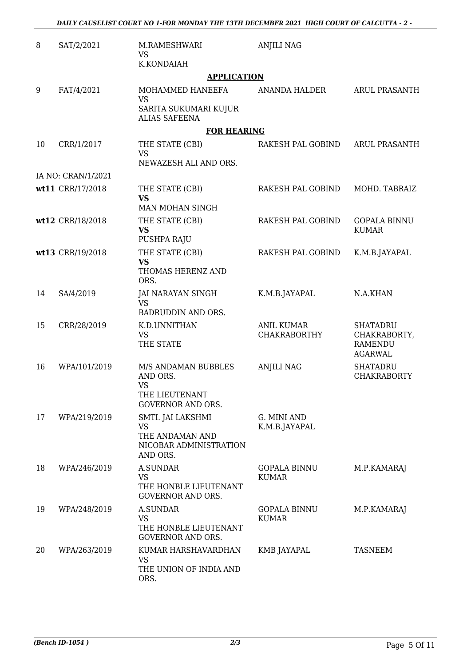| 8  | SAT/2/2021         | M.RAMESHWARI<br>VS.                                                                        | <b>ANJILI NAG</b>                        |                                                                     |
|----|--------------------|--------------------------------------------------------------------------------------------|------------------------------------------|---------------------------------------------------------------------|
|    |                    | K.KONDAIAH<br><b>APPLICATION</b>                                                           |                                          |                                                                     |
| 9  | FAT/4/2021         | MOHAMMED HANEEFA<br><b>VS</b><br>SARITA SUKUMARI KUJUR<br><b>ALIAS SAFEENA</b>             | ANANDA HALDER                            | <b>ARUL PRASANTH</b>                                                |
|    |                    | <b>FOR HEARING</b>                                                                         |                                          |                                                                     |
| 10 | CRR/1/2017         | THE STATE (CBI)<br><b>VS</b><br>NEWAZESH ALI AND ORS.                                      | RAKESH PAL GOBIND                        | <b>ARUL PRASANTH</b>                                                |
|    | IA NO: CRAN/1/2021 |                                                                                            |                                          |                                                                     |
|    | wt11 CRR/17/2018   | THE STATE (CBI)<br><b>VS</b><br>MAN MOHAN SINGH                                            | RAKESH PAL GOBIND                        | MOHD. TABRAIZ                                                       |
|    | wt12 CRR/18/2018   | THE STATE (CBI)<br><b>VS</b><br>PUSHPA RAJU                                                | RAKESH PAL GOBIND                        | <b>GOPALA BINNU</b><br><b>KUMAR</b>                                 |
|    | wt13 CRR/19/2018   | THE STATE (CBI)<br><b>VS</b><br>THOMAS HERENZ AND<br>ORS.                                  | RAKESH PAL GOBIND                        | K.M.B.JAYAPAL                                                       |
| 14 | SA/4/2019          | JAI NARAYAN SINGH<br><b>VS</b><br>BADRUDDIN AND ORS.                                       | K.M.B.JAYAPAL                            | N.A.KHAN                                                            |
| 15 | CRR/28/2019        | K.D.UNNITHAN<br><b>VS</b><br>THE STATE                                                     | <b>ANIL KUMAR</b><br><b>CHAKRABORTHY</b> | <b>SHATADRU</b><br>CHAKRABORTY,<br><b>RAMENDU</b><br><b>AGARWAL</b> |
| 16 | WPA/101/2019       | M/S ANDAMAN BUBBLES<br>AND ORS.<br><b>VS</b><br>THE LIEUTENANT<br><b>GOVERNOR AND ORS.</b> | <b>ANJILI NAG</b>                        | <b>SHATADRU</b><br><b>CHAKRABORTY</b>                               |
| 17 | WPA/219/2019       | SMTI. JAI LAKSHMI<br><b>VS</b><br>THE ANDAMAN AND<br>NICOBAR ADMINISTRATION<br>AND ORS.    | G. MINI AND<br>K.M.B.JAYAPAL             |                                                                     |
| 18 | WPA/246/2019       | A.SUNDAR<br><b>VS</b><br>THE HONBLE LIEUTENANT<br><b>GOVERNOR AND ORS.</b>                 | <b>GOPALA BINNU</b><br><b>KUMAR</b>      | M.P.KAMARAJ                                                         |
| 19 | WPA/248/2019       | A.SUNDAR<br><b>VS</b><br>THE HONBLE LIEUTENANT<br><b>GOVERNOR AND ORS.</b>                 | <b>GOPALA BINNU</b><br><b>KUMAR</b>      | M.P.KAMARAJ                                                         |
| 20 | WPA/263/2019       | KUMAR HARSHAVARDHAN<br><b>VS</b><br>THE UNION OF INDIA AND<br>ORS.                         | KMB JAYAPAL                              | <b>TASNEEM</b>                                                      |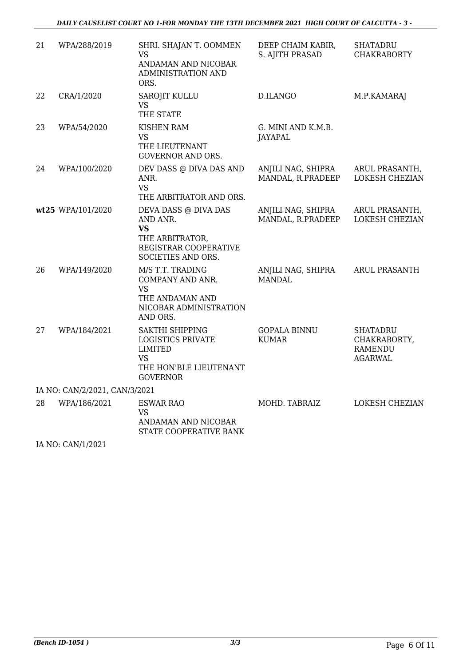#### *DAILY CAUSELIST COURT NO 1-FOR MONDAY THE 13TH DECEMBER 2021 HIGH COURT OF CALCUTTA - 3 -*

| 21 | WPA/288/2019                  | SHRI. SHAJAN T. OOMMEN<br><b>VS</b><br>ANDAMAN AND NICOBAR<br>ADMINISTRATION AND<br>ORS.                                       | DEEP CHAIM KABIR,<br>S. AJITH PRASAD    | <b>SHATADRU</b><br><b>CHAKRABORTY</b>                               |
|----|-------------------------------|--------------------------------------------------------------------------------------------------------------------------------|-----------------------------------------|---------------------------------------------------------------------|
| 22 | CRA/1/2020                    | SAROJIT KULLU<br><b>VS</b><br>THE STATE                                                                                        | D.ILANGO                                | M.P.KAMARAJ                                                         |
| 23 | WPA/54/2020                   | <b>KISHEN RAM</b><br><b>VS</b><br>THE LIEUTENANT<br><b>GOVERNOR AND ORS.</b>                                                   | G. MINI AND K.M.B.<br><b>JAYAPAL</b>    |                                                                     |
| 24 | WPA/100/2020                  | DEV DASS @ DIVA DAS AND<br>ANR.<br><b>VS</b><br>THE ARBITRATOR AND ORS.                                                        | ANJILI NAG, SHIPRA<br>MANDAL, R.PRADEEP | ARUL PRASANTH,<br><b>LOKESH CHEZIAN</b>                             |
|    | wt25 WPA/101/2020             | DEVA DASS @ DIVA DAS<br>AND ANR.<br><b>VS</b><br>THE ARBITRATOR,<br>REGISTRAR COOPERATIVE<br>SOCIETIES AND ORS.                | ANJILI NAG, SHIPRA<br>MANDAL, R.PRADEEP | ARUL PRASANTH,<br><b>LOKESH CHEZIAN</b>                             |
| 26 | WPA/149/2020                  | M/S T.T. TRADING<br>COMPANY AND ANR.<br><b>VS</b><br>THE ANDAMAN AND<br>NICOBAR ADMINISTRATION<br>AND ORS.                     | ANJILI NAG, SHIPRA<br><b>MANDAL</b>     | <b>ARUL PRASANTH</b>                                                |
| 27 | WPA/184/2021                  | <b>SAKTHI SHIPPING</b><br><b>LOGISTICS PRIVATE</b><br><b>LIMITED</b><br><b>VS</b><br>THE HON'BLE LIEUTENANT<br><b>GOVERNOR</b> | <b>GOPALA BINNU</b><br><b>KUMAR</b>     | <b>SHATADRU</b><br>CHAKRABORTY,<br><b>RAMENDU</b><br><b>AGARWAL</b> |
|    | IA NO: CAN/2/2021, CAN/3/2021 |                                                                                                                                |                                         |                                                                     |
| 28 | WPA/186/2021                  | <b>ESWAR RAO</b><br>VS<br>ANDAMAN AND NICOBAR<br>STATE COOPERATIVE BANK                                                        | MOHD. TABRAIZ                           | <b>LOKESH CHEZIAN</b>                                               |

IA NO: CAN/1/2021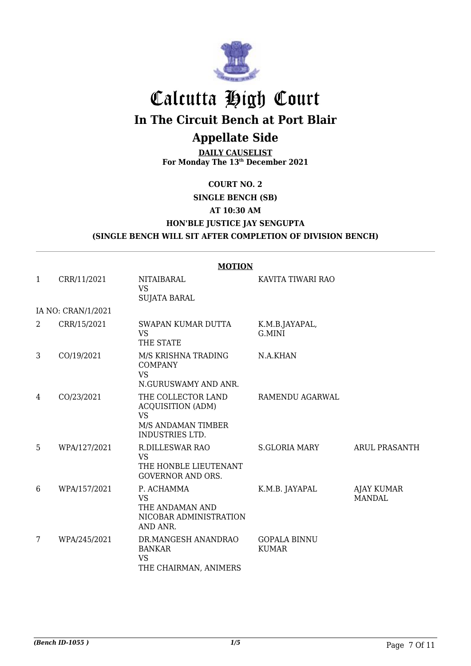

## Calcutta High Court **In The Circuit Bench at Port Blair**

#### **Appellate Side**

**DAILY CAUSELIST For Monday The 13th December 2021**

#### **COURT NO. 2 SINGLE BENCH (SB) AT 10:30 AM**

#### **HON'BLE JUSTICE JAY SENGUPTA (SINGLE BENCH WILL SIT AFTER COMPLETION OF DIVISION BENCH)**

|              | <b>MOTION</b>      |                                                                                                      |                                     |                                    |  |
|--------------|--------------------|------------------------------------------------------------------------------------------------------|-------------------------------------|------------------------------------|--|
| $\mathbf{1}$ | CRR/11/2021        | NITAIBARAL<br><b>VS</b><br><b>SUJATA BARAL</b>                                                       | KAVITA TIWARI RAO                   |                                    |  |
|              | IA NO: CRAN/1/2021 |                                                                                                      |                                     |                                    |  |
| 2            | CRR/15/2021        | SWAPAN KUMAR DUTTA<br><b>VS</b><br>THE STATE                                                         | K.M.B.JAYAPAL,<br>G.MINI            |                                    |  |
| 3            | CO/19/2021         | M/S KRISHNA TRADING<br><b>COMPANY</b><br><b>VS</b><br>N.GURUSWAMY AND ANR.                           | N.A.KHAN                            |                                    |  |
| 4            | CO/23/2021         | THE COLLECTOR LAND<br><b>ACQUISITION (ADM)</b><br><b>VS</b><br>M/S ANDAMAN TIMBER<br>INDUSTRIES LTD. | RAMENDU AGARWAL                     |                                    |  |
| 5            | WPA/127/2021       | <b>R.DILLESWAR RAO</b><br><b>VS</b><br>THE HONBLE LIEUTENANT<br><b>GOVERNOR AND ORS.</b>             | <b>S.GLORIA MARY</b>                | <b>ARUL PRASANTH</b>               |  |
| 6            | WPA/157/2021       | P. ACHAMMA<br><b>VS</b><br>THE ANDAMAN AND<br>NICOBAR ADMINISTRATION<br>AND ANR.                     | K.M.B. JAYAPAL                      | <b>AJAY KUMAR</b><br><b>MANDAL</b> |  |
| 7            | WPA/245/2021       | DR.MANGESH ANANDRAO<br><b>BANKAR</b><br><b>VS</b><br>THE CHAIRMAN, ANIMERS                           | <b>GOPALA BINNU</b><br><b>KUMAR</b> |                                    |  |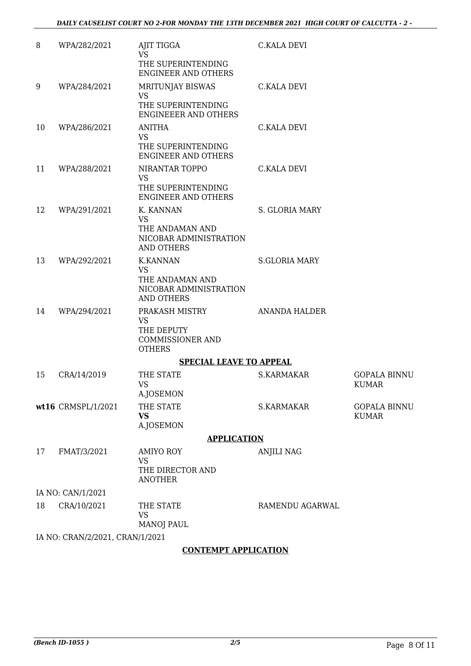| 8  | WPA/282/2021                    | AJIT TIGGA<br><b>VS</b>                                                                        | <b>C.KALA DEVI</b>   |                                     |
|----|---------------------------------|------------------------------------------------------------------------------------------------|----------------------|-------------------------------------|
|    |                                 | THE SUPERINTENDING<br><b>ENGINEER AND OTHERS</b>                                               |                      |                                     |
| 9  | WPA/284/2021                    | MRITUNJAY BISWAS<br><b>VS</b>                                                                  | <b>C.KALA DEVI</b>   |                                     |
|    |                                 | THE SUPERINTENDING<br><b>ENGINEEER AND OTHERS</b>                                              |                      |                                     |
| 10 | WPA/286/2021                    | <b>ANITHA</b><br><b>VS</b><br>THE SUPERINTENDING<br><b>ENGINEER AND OTHERS</b>                 | C.KALA DEVI          |                                     |
| 11 | WPA/288/2021                    | NIRANTAR TOPPO<br><b>VS</b><br>THE SUPERINTENDING<br><b>ENGINEER AND OTHERS</b>                | <b>C.KALA DEVI</b>   |                                     |
| 12 | WPA/291/2021                    | K. KANNAN<br><b>VS</b><br>THE ANDAMAN AND<br>NICOBAR ADMINISTRATION<br><b>AND OTHERS</b>       | S. GLORIA MARY       |                                     |
| 13 | WPA/292/2021                    | <b>K.KANNAN</b><br><b>VS</b><br>THE ANDAMAN AND<br>NICOBAR ADMINISTRATION<br><b>AND OTHERS</b> | <b>S.GLORIA MARY</b> |                                     |
| 14 | WPA/294/2021                    | PRAKASH MISTRY<br><b>VS</b><br>THE DEPUTY<br><b>COMMISSIONER AND</b><br><b>OTHERS</b>          | <b>ANANDA HALDER</b> |                                     |
|    |                                 | <b>SPECIAL LEAVE TO APPEAL</b>                                                                 |                      |                                     |
| 15 | CRA/14/2019                     | THE STATE<br><b>VS</b>                                                                         | S.KARMAKAR           | <b>GOPALA BINNU</b><br><b>KUMAR</b> |
|    | wt16 CRMSPL/1/2021              | A.JOSEMON<br>THE STATE<br><b>VS</b><br>A.JOSEMON                                               | S.KARMAKAR           | <b>GOPALA BINNU</b><br><b>KUMAR</b> |
|    |                                 | <b>APPLICATION</b>                                                                             |                      |                                     |
| 17 | FMAT/3/2021                     | <b>AMIYO ROY</b>                                                                               | <b>ANJILI NAG</b>    |                                     |
|    |                                 | <b>VS</b><br>THE DIRECTOR AND<br><b>ANOTHER</b>                                                |                      |                                     |
|    | IA NO: CAN/1/2021               |                                                                                                |                      |                                     |
| 18 | CRA/10/2021                     | THE STATE<br><b>VS</b><br><b>MANOJ PAUL</b>                                                    | RAMENDU AGARWAL      |                                     |
|    | IA NO: CRAN/2/2021, CRAN/1/2021 |                                                                                                |                      |                                     |

#### **CONTEMPT APPLICATION**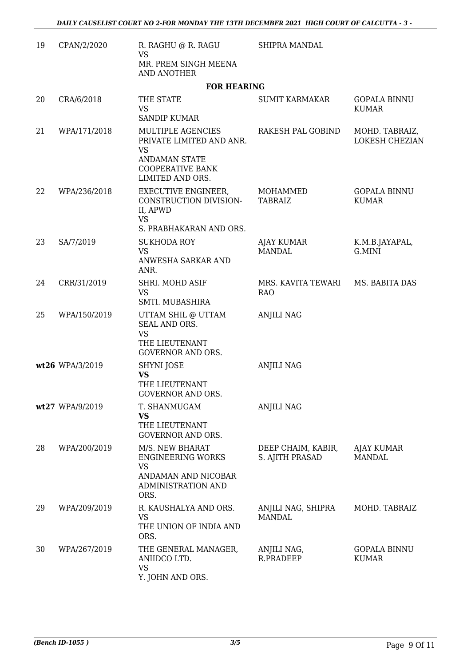| 19 | CPAN/2/2020     | R. RAGHU @ R. RAGU<br>VS                                                                       | <b>SHIPRA MANDAL</b>                  |                                     |
|----|-----------------|------------------------------------------------------------------------------------------------|---------------------------------------|-------------------------------------|
|    |                 | MR. PREM SINGH MEENA<br>AND ANOTHER                                                            |                                       |                                     |
|    |                 | <b>FOR HEARING</b>                                                                             |                                       |                                     |
| 20 | CRA/6/2018      | THE STATE<br><b>VS</b><br><b>SANDIP KUMAR</b>                                                  | <b>SUMIT KARMAKAR</b>                 | <b>GOPALA BINNU</b><br><b>KUMAR</b> |
| 21 | WPA/171/2018    | MULTIPLE AGENCIES<br>PRIVATE LIMITED AND ANR.<br><b>VS</b>                                     | RAKESH PAL GOBIND                     | MOHD. TABRAIZ,<br>LOKESH CHEZIAN    |
|    |                 | <b>ANDAMAN STATE</b><br><b>COOPERATIVE BANK</b><br>LIMITED AND ORS.                            |                                       |                                     |
| 22 | WPA/236/2018    | EXECUTIVE ENGINEER,<br>CONSTRUCTION DIVISION-<br>II, APWD<br><b>VS</b>                         | MOHAMMED<br>TABRAIZ                   | <b>GOPALA BINNU</b><br><b>KUMAR</b> |
|    |                 | S. PRABHAKARAN AND ORS.                                                                        |                                       |                                     |
| 23 | SA/7/2019       | <b>SUKHODA ROY</b><br><b>VS</b>                                                                | AJAY KUMAR<br><b>MANDAL</b>           | K.M.B.JAYAPAL,<br>G.MINI            |
|    |                 | ANWESHA SARKAR AND<br>ANR.                                                                     |                                       |                                     |
| 24 | CRR/31/2019     | SHRI. MOHD ASIF<br><b>VS</b><br>SMTI. MUBASHIRA                                                | MRS. KAVITA TEWARI<br><b>RAO</b>      | MS. BABITA DAS                      |
| 25 | WPA/150/2019    | UTTAM SHIL @ UTTAM<br>SEAL AND ORS.<br><b>VS</b><br>THE LIEUTENANT<br><b>GOVERNOR AND ORS.</b> | <b>ANJILI NAG</b>                     |                                     |
|    | wt26 WPA/3/2019 | SHYNI JOSE                                                                                     | <b>ANJILI NAG</b>                     |                                     |
|    |                 | <b>VS</b><br>THE LIEUTENANT<br>GOVERNOR AND ORS.                                               |                                       |                                     |
|    | wt27 WPA/9/2019 | T. SHANMUGAM<br><b>VS</b><br>THE LIEUTENANT<br><b>GOVERNOR AND ORS.</b>                        | <b>ANJILI NAG</b>                     |                                     |
| 28 | WPA/200/2019    | M/S. NEW BHARAT<br><b>ENGINEERING WORKS</b><br><b>VS</b>                                       | DEEP CHAIM, KABIR,<br>S. AJITH PRASAD | AJAY KUMAR<br><b>MANDAL</b>         |
|    |                 | ANDAMAN AND NICOBAR<br><b>ADMINISTRATION AND</b><br>ORS.                                       |                                       |                                     |
| 29 | WPA/209/2019    | R. KAUSHALYA AND ORS.<br><b>VS</b><br>THE UNION OF INDIA AND<br>ORS.                           | ANJILI NAG, SHIPRA<br><b>MANDAL</b>   | MOHD. TABRAIZ                       |
| 30 | WPA/267/2019    | THE GENERAL MANAGER,<br>ANIIDCO LTD.<br><b>VS</b><br>Y. JOHN AND ORS.                          | ANJILI NAG,<br>R.PRADEEP              | <b>GOPALA BINNU</b><br><b>KUMAR</b> |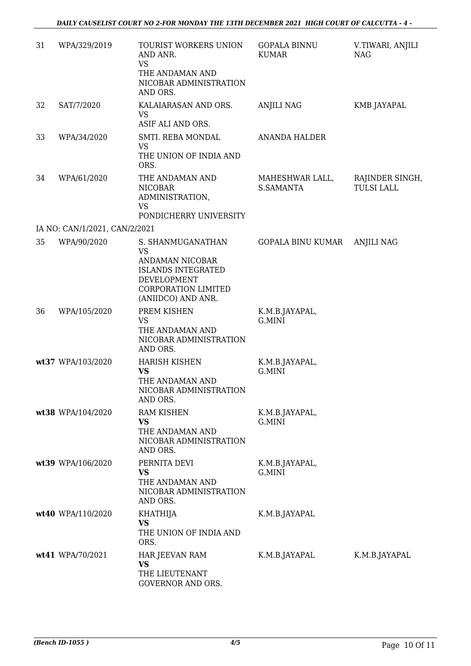| 31 | WPA/329/2019                  | TOURIST WORKERS UNION<br>AND ANR.<br><b>VS</b><br>THE ANDAMAN AND<br>NICOBAR ADMINISTRATION<br>AND ORS.                                           | <b>GOPALA BINNU</b><br><b>KUMAR</b> | V.TIWARI, ANJILI<br><b>NAG</b>       |
|----|-------------------------------|---------------------------------------------------------------------------------------------------------------------------------------------------|-------------------------------------|--------------------------------------|
| 32 | SAT/7/2020                    | KALAIARASAN AND ORS.<br>VS<br>ASIF ALI AND ORS.                                                                                                   | <b>ANJILI NAG</b>                   | KMB JAYAPAL                          |
| 33 | WPA/34/2020                   | SMTI. REBA MONDAL<br><b>VS</b><br>THE UNION OF INDIA AND<br>ORS.                                                                                  | <b>ANANDA HALDER</b>                |                                      |
| 34 | WPA/61/2020                   | THE ANDAMAN AND<br><b>NICOBAR</b><br>ADMINISTRATION,<br><b>VS</b><br>PONDICHERRY UNIVERSITY                                                       | MAHESHWAR LALL,<br>S.SAMANTA        | RAJINDER SINGH,<br><b>TULSI LALL</b> |
|    | IA NO: CAN/1/2021, CAN/2/2021 |                                                                                                                                                   |                                     |                                      |
| 35 | WPA/90/2020                   | S. SHANMUGANATHAN<br><b>VS</b><br>ANDAMAN NICOBAR<br><b>ISLANDS INTEGRATED</b><br>DEVELOPMENT<br><b>CORPORATION LIMITED</b><br>(ANIIDCO) AND ANR. | GOPALA BINU KUMAR                   | <b>ANJILI NAG</b>                    |
| 36 | WPA/105/2020                  | PREM KISHEN<br><b>VS</b><br>THE ANDAMAN AND<br>NICOBAR ADMINISTRATION<br>AND ORS.                                                                 | K.M.B.JAYAPAL,<br>G.MINI            |                                      |
|    | wt37 WPA/103/2020             | <b>HARISH KISHEN</b><br><b>VS</b><br>THE ANDAMAN AND<br>NICOBAR ADMINISTRATION<br>AND ORS.                                                        | K.M.B.JAYAPAL,<br>G.MINI            |                                      |
|    | wt38 WPA/104/2020             | RAM KISHEN<br><b>VS</b><br>THE ANDAMAN AND<br>NICOBAR ADMINISTRATION<br>AND ORS.                                                                  | K.M.B.JAYAPAL,<br>G.MINI            |                                      |
|    | wt39 WPA/106/2020             | PERNITA DEVI<br><b>VS</b><br>THE ANDAMAN AND<br>NICOBAR ADMINISTRATION<br>AND ORS.                                                                | K.M.B.JAYAPAL,<br>G.MINI            |                                      |
|    | wt40 WPA/110/2020             | <b>KHATHIJA</b><br><b>VS</b><br>THE UNION OF INDIA AND<br>ORS.                                                                                    | K.M.B.JAYAPAL                       |                                      |
|    | wt41 WPA/70/2021              | HAR JEEVAN RAM<br>VS<br>THE LIEUTENANT<br><b>GOVERNOR AND ORS.</b>                                                                                | K.M.B.JAYAPAL                       | K.M.B.JAYAPAL                        |